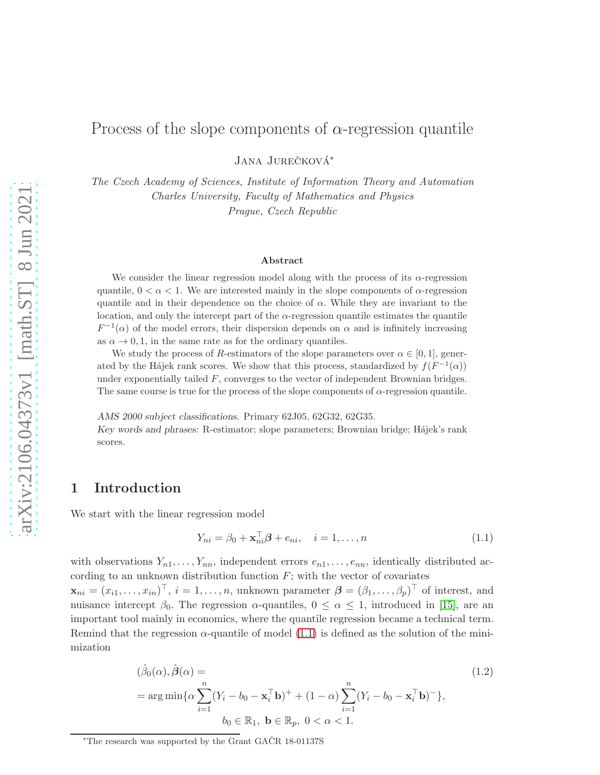# Process of the slope components of  $\alpha$ -regression quantile

JANA JUREČKOVÁ<sup>\*</sup>

The Czech Academy of Sciences, Institute of Information Theory and Automation Charles University, Faculty of Mathematics and Physics Prague, Czech Republic

#### Abstract

We consider the linear regression model along with the process of its  $\alpha$ -regression quantile,  $0 < \alpha < 1$ . We are interested mainly in the slope components of  $\alpha$ -regression quantile and in their dependence on the choice of  $\alpha$ . While they are invariant to the location, and only the intercept part of the  $\alpha$ -regression quantile estimates the quantile  $F^{-1}(\alpha)$  of the model errors, their dispersion depends on  $\alpha$  and is infinitely increasing as  $\alpha \to 0, 1$ , in the same rate as for the ordinary quantiles.

We study the process of R-estimators of the slope parameters over  $\alpha \in [0, 1]$ , generated by the Hájek rank scores. We show that this process, standardized by  $f(F^{-1}(\alpha))$ under exponentially tailed F, converges to the vector of independent Brownian bridges. The same course is true for the process of the slope components of  $\alpha$ -regression quantile.

AMS 2000 subject classifications. Primary 62J05, 62G32, 62G35.

Key words and phrases: R-estimator; slope parameters; Brownian bridge; Hájek's rank scores.

#### 1 Introduction

We start with the linear regression model

<span id="page-0-0"></span>
$$
Y_{ni} = \beta_0 + \mathbf{x}_{ni}^\top \boldsymbol{\beta} + e_{ni}, \quad i = 1, \dots, n \tag{1.1}
$$

with observations  $Y_{n1}, \ldots, Y_{nn}$ , independent errors  $e_{n1}, \ldots, e_{nn}$ , identically distributed according to an unknown distribution function  $F$ ; with the vector of covariates

 $\mathbf{x}_{ni} = (x_{i1}, \dots, x_{in})^{\top}, i = 1, \dots, n$ , unknown parameter  $\boldsymbol{\beta} = (\beta_1, \dots, \beta_p)^{\top}$  of interest, and nuisance intercept  $\beta_0$ . The regression  $\alpha$ -quantiles,  $0 \leq \alpha \leq 1$ , introduced in [\[15\]](#page-7-0), are an important tool mainly in economics, where the quantile regression became a technical term. Remind that the regression  $\alpha$ -quantile of model [\(1.1\)](#page-0-0) is defined as the solution of the minimization

<span id="page-0-1"></span>
$$
(\hat{\beta}_0(\alpha), \hat{\boldsymbol{\beta}}(\alpha)) =
$$
\n
$$
= \arg\min \{ \alpha \sum_{i=1}^n (Y_i - b_0 - \mathbf{x}_i^{\top} \mathbf{b})^+ + (1 - \alpha) \sum_{i=1}^n (Y_i - b_0 - \mathbf{x}_i^{\top} \mathbf{b})^- \},
$$
\n
$$
b_0 \in \mathbb{R}_1, \ \mathbf{b} \in \mathbb{R}_p, \ 0 < \alpha < 1.
$$
\n
$$
(1.2)
$$

<sup>\*</sup>The research was supported by the Grant GA $\check{C}R$  18-01137S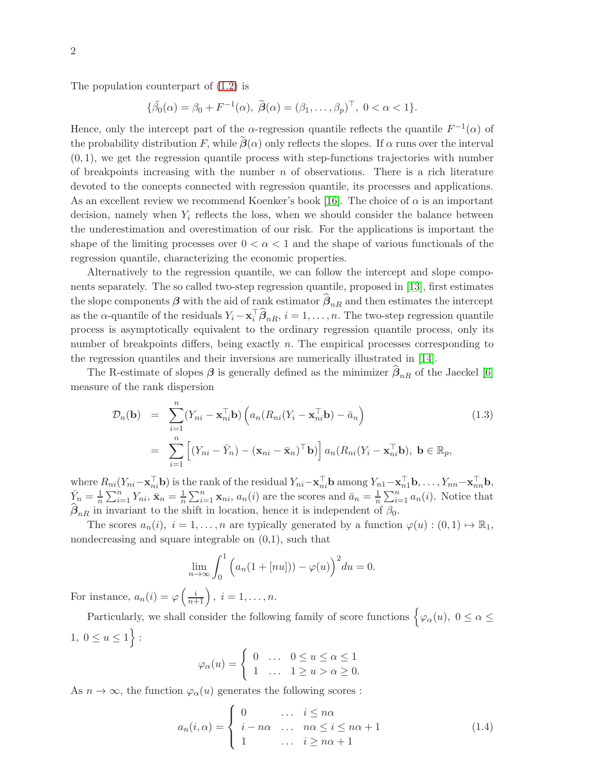The population counterpart of [\(1.2\)](#page-0-1) is

$$
\{\widetilde{\beta}_0(\alpha) = \beta_0 + F^{-1}(\alpha), \ \widetilde{\boldsymbol{\beta}}(\alpha) = (\beta_1, \dots, \beta_p)^\top, \ 0 < \alpha < 1\}.
$$

Hence, only the intercept part of the  $\alpha$ -regression quantile reflects the quantile  $F^{-1}(\alpha)$  of the probability distribution F, while  $\hat{\beta}(\alpha)$  only reflects the slopes. If  $\alpha$  runs over the interval  $(0, 1)$ , we get the regression quantile process with step-functions trajectories with number of breakpoints increasing with the number  $n$  of observations. There is a rich literature devoted to the concepts connected with regression quantile, its processes and applications. As an excellent review we recommend Koenker's book [\[16\]](#page-7-1). The choice of  $\alpha$  is an important decision, namely when  $Y_i$  reflects the loss, when we should consider the balance between the underestimation and overestimation of our risk. For the applications is important the shape of the limiting processes over  $0 < \alpha < 1$  and the shape of various functionals of the regression quantile, characterizing the economic properties.

Alternatively to the regression quantile, we can follow the intercept and slope components separately. The so called two-step regression quantile, proposed in [\[13\]](#page-7-2), first estimates the slope components  $\beta$  with the aid of rank estimator  $\beta_{nR}$  and then estimates the intercept as the  $\alpha$ -quantile of the residuals  $Y_i - \mathbf{x}_i^{\top} \hat{\boldsymbol{\beta}}_{nR}, i = 1, \dots, n$ . The two-step regression quantile process is asymptotically equivalent to the ordinary regression quantile process, only its number of breakpoints differs, being exactly  $n$ . The empirical processes corresponding to the regression quantiles and their inversions are numerically illustrated in [\[14\]](#page-7-3).

The R-estimate of slopes  $\beta$  is generally defined as the minimizer  $\beta_{nR}$  of the Jaeckel [\[6\]](#page-6-0) measure of the rank dispersion

<span id="page-1-0"></span>
$$
\mathcal{D}_n(\mathbf{b}) = \sum_{i=1}^n (Y_{ni} - \mathbf{x}_{ni}^\top \mathbf{b}) \left( a_n (R_{ni}(Y_i - \mathbf{x}_{ni}^\top \mathbf{b}) - \bar{a}_n) \right)
$$
\n
$$
= \sum_{i=1}^n \left[ (Y_{ni} - \bar{Y}_n) - (\mathbf{x}_{ni} - \bar{\mathbf{x}}_n)^\top \mathbf{b} \right] a_n (R_{ni}(Y_i - \mathbf{x}_{ni}^\top \mathbf{b}), \ \mathbf{b} \in \mathbb{R}_p,
$$
\n(1.3)

where  $R_{ni}(Y_{ni} - \mathbf{x}_{ni}^{\top} \mathbf{b})$  is the rank of the residual  $Y_{ni} - \mathbf{x}_{ni}^{\top} \mathbf{b}$  among  $Y_{n1} - \mathbf{x}_{ni}^{\top} \mathbf{b}, \ldots, Y_{nn} - \mathbf{x}_{nn}^{\top} \mathbf{b}$ ,  $\bar{Y}_n = \frac{1}{n}$  $\frac{1}{n}\sum_{i=1}^n Y_{ni}, \bar{\mathbf{x}}_n = \frac{1}{n}$  $\frac{1}{n}\sum_{i=1}^{n} \mathbf{x}_{ni}$ ,  $a_n(i)$  are the scores and  $\bar{a}_n = \frac{1}{n}$  $\frac{1}{n} \sum_{i=1}^{n} a_n(i)$ . Notice that  $\beta_{nR}$  in invariant to the shift in location, hence it is independent of  $\beta_0$ .

The scores  $a_n(i)$ ,  $i = 1, ..., n$  are typically generated by a function  $\varphi(u) : (0,1) \mapsto \mathbb{R}_1$ , nondecreasing and square integrable on (0,1), such that

$$
\lim_{n \to \infty} \int_0^1 \left( a_n (1 + [nu])) - \varphi(u) \right)^2 du = 0.
$$

For instance,  $a_n(i) = \varphi\left(\frac{i}{n+1}\right)$ ,  $i = 1, \ldots, n$ .

Particularly, we shall consider the following family of score functions  $\big\{\varphi_{\alpha}(u), 0 \leq \alpha \leq \varphi_{\alpha}(u)\big\}$  $1, 0 \le u \le 1$  :

$$
\varphi_{\alpha}(u) = \begin{cases} 0 & \dots & 0 \le u \le \alpha \le 1 \\ 1 & \dots & 1 \ge u > \alpha \ge 0. \end{cases}
$$

As  $n \to \infty$ , the function  $\varphi_{\alpha}(u)$  generates the following scores :

<span id="page-1-1"></span>
$$
a_n(i,\alpha) = \begin{cases} 0 & \dots & i \leq n\alpha \\ i - n\alpha & \dots & n\alpha \leq i \leq n\alpha + 1 \\ 1 & \dots & i \geq n\alpha + 1 \end{cases}
$$
(1.4)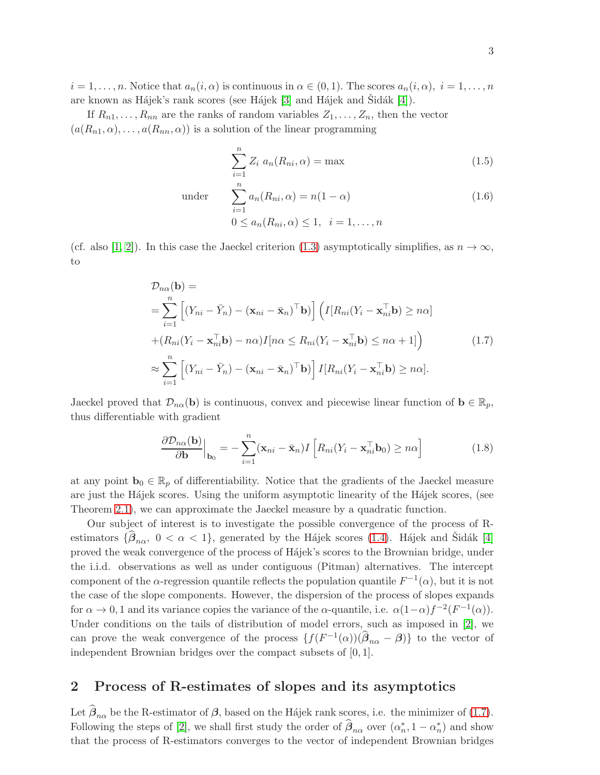$i = 1, \ldots, n$ . Notice that  $a_n(i, \alpha)$  is continuous in  $\alpha \in (0, 1)$ . The scores  $a_n(i, \alpha), i = 1, \ldots, n$ . are known as Hájek's rank scores (see Hájek [\[3\]](#page-6-1) and Hájek and Sidák [\[4\]](#page-6-2)).

If  $R_{n1}, \ldots, R_{nn}$  are the ranks of random variables  $Z_1, \ldots, Z_n$ , then the vector  $(a(R_{n1}, \alpha), \ldots, a(R_{nn}, \alpha))$  is a solution of the linear programming

$$
\sum_{i=1}^{n} Z_i \ a_n(R_{ni}, \alpha) = \max \tag{1.5}
$$

under 
$$
\sum_{i=1}^{n} a_n(R_{ni}, \alpha) = n(1 - \alpha)
$$

$$
0 \le a_n(R_{ni}, \alpha) \le 1, \quad i = 1, \dots, n
$$
 (1.6)

(cf. also [\[1,](#page-6-3) [2\]](#page-6-4)). In this case the Jaeckel criterion [\(1.3\)](#page-1-0) asymptotically simplifies, as  $n \to \infty$ , to

<span id="page-2-0"></span>
$$
\mathcal{D}_{n\alpha}(\mathbf{b}) =
$$
\n
$$
= \sum_{i=1}^{n} \left[ (Y_{ni} - \bar{Y}_n) - (\mathbf{x}_{ni} - \bar{\mathbf{x}}_n)^\top \mathbf{b} \right] \left( I[R_{ni}(Y_i - \mathbf{x}_{ni}^\top \mathbf{b}) \geq n\alpha] + (R_{ni}(Y_i - \mathbf{x}_{ni}^\top \mathbf{b}) - n\alpha)I[n\alpha \leq R_{ni}(Y_i - \mathbf{x}_{ni}^\top \mathbf{b}) \leq n\alpha + 1] \right)
$$
\n
$$
\approx \sum_{i=1}^{n} \left[ (Y_{ni} - \bar{Y}_n) - (\mathbf{x}_{ni} - \bar{\mathbf{x}}_n)^\top \mathbf{b} \right] I[R_{ni}(Y_i - \mathbf{x}_{ni}^\top \mathbf{b}) \geq n\alpha]. \tag{1.7}
$$

Jaeckel proved that  $\mathcal{D}_{n\alpha}(\mathbf{b})$  is continuous, convex and piecewise linear function of  $\mathbf{b} \in \mathbb{R}_p$ , thus differentiable with gradient

<span id="page-2-1"></span>
$$
\frac{\partial \mathcal{D}_{n\alpha}(\mathbf{b})}{\partial \mathbf{b}}\Big|_{\mathbf{b}_0} = -\sum_{i=1}^n (\mathbf{x}_{ni} - \bar{\mathbf{x}}_n) I \left[ R_{ni} (Y_i - \mathbf{x}_{ni}^\top \mathbf{b}_0) \geq n\alpha \right]
$$
(1.8)

at any point  $\mathbf{b}_0 \in \mathbb{R}_p$  of differentiability. Notice that the gradients of the Jaeckel measure are just the Hájek scores. Using the uniform asymptotic linearity of the Hájek scores, (see Theorem [2.1\)](#page-4-0), we can approximate the Jaeckel measure by a quadratic function.

Our subject of interest is to investigate the possible convergence of the process of Restimators  $\{\widehat{\beta}_{n\alpha}, \ 0 < \alpha < 1\}$ , generated by the Hájek scores [\(1.4\)](#page-1-1). Hájek and Šidák [\[4\]](#page-6-2) proved the weak convergence of the process of H´ajek's scores to the Brownian bridge, under the i.i.d. observations as well as under contiguous (Pitman) alternatives. The intercept component of the  $\alpha$ -regression quantile reflects the population quantile  $F^{-1}(\alpha)$ , but it is not the case of the slope components. However, the dispersion of the process of slopes expands for  $\alpha \to 0, 1$  and its variance copies the variance of the  $\alpha$ -quantile, i.e.  $\alpha(1-\alpha)f^{-2}(F^{-1}(\alpha)).$ Under conditions on the tails of distribution of model errors, such as imposed in [\[2\]](#page-6-4), we can prove the weak convergence of the process  $\{f(F^{-1}(\alpha))(\hat{\beta}_{n\alpha} - \beta)\}\)$  to the vector of independent Brownian bridges over the compact subsets of [0, 1].

## 2 Process of R-estimates of slopes and its asymptotics

Let  $\beta_{n\alpha}$  be the R-estimator of  $\beta$ , based on the Hájek rank scores, i.e. the minimizer of [\(1.7\)](#page-2-0). Following the steps of [\[2\]](#page-6-4), we shall first study the order of  $\hat{\beta}_{n\alpha}$  over  $(\alpha_n^*, 1 - \alpha_n^*)$  and show that the process of R-estimators converges to the vector of independent Brownian bridges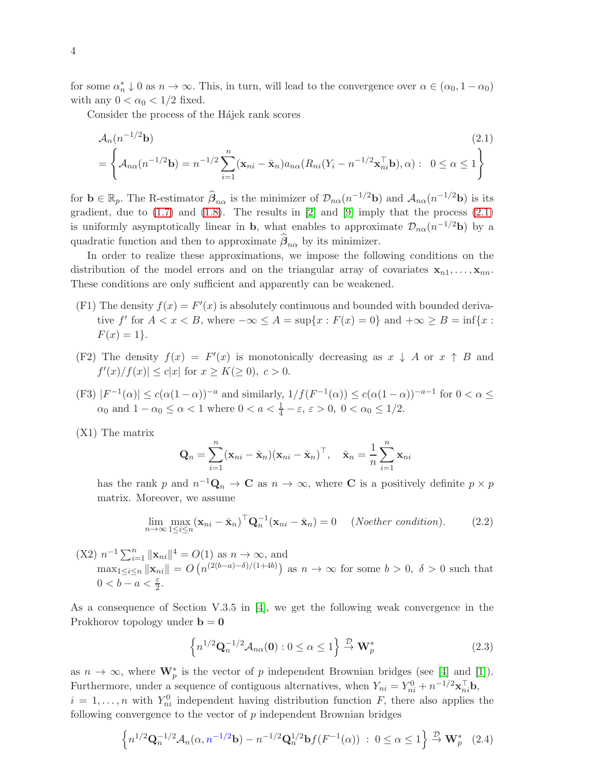for some  $\alpha_n^* \downarrow 0$  as  $n \to \infty$ . This, in turn, will lead to the convergence over  $\alpha \in (\alpha_0, 1 - \alpha_0)$ with any  $0 < \alpha_0 < 1/2$  fixed.

Consider the process of the Hájek rank scores

<span id="page-3-0"></span>
$$
\mathcal{A}_n(n^{-1/2}\mathbf{b})
$$
\n
$$
= \left\{ \mathcal{A}_{n\alpha}(n^{-1/2}\mathbf{b}) = n^{-1/2} \sum_{i=1}^n (\mathbf{x}_{ni} - \bar{\mathbf{x}}_n) a_{n\alpha} (R_{ni} (Y_i - n^{-1/2} \mathbf{x}_{ni}^\top \mathbf{b}), \alpha) : 0 \le \alpha \le 1 \right\}
$$
\n(2.1)

for  $\mathbf{b} \in \mathbb{R}_p$ . The R-estimator  $\hat{\boldsymbol{\beta}}_{n\alpha}$  is the minimizer of  $\mathcal{D}_{n\alpha}(n^{-1/2}\mathbf{b})$  and  $\mathcal{A}_{n\alpha}(n^{-1/2}\mathbf{b})$  is its gradient, due to  $(1.7)$  and  $(1.8)$ . The results in  $[2]$  and  $[9]$  imply that the process  $(2.1)$ is uniformly asymptotically linear in **b**, what enables to approximate  $\mathcal{D}_{n\alpha}(n^{-1/2}b)$  by a quadratic function and then to approximate  $\beta_{n\alpha}$  by its minimizer.

In order to realize these approximations, we impose the following conditions on the distribution of the model errors and on the triangular array of covariates  $x_{n1}, \ldots, x_{nn}$ . These conditions are only sufficient and apparently can be weakened.

- (F1) The density  $f(x) = F'(x)$  is absolutely continuous and bounded with bounded derivative f' for  $A < x < B$ , where  $-\infty \le A = \sup\{x : F(x) = 0\}$  and  $+\infty \ge B = \inf\{x : F(x) = 0\}$  $F(x) = 1$ .
- (F2) The density  $f(x) = F'(x)$  is monotonically decreasing as  $x \downarrow A$  or  $x \uparrow B$  and  $f'(x)/f(x)| \leq c|x|$  for  $x \geq K(\geq 0), c > 0$ .
- (F3)  $|F^{-1}(\alpha)| \leq c(\alpha(1-\alpha))^{-a}$  and similarly,  $1/f(F^{-1}(\alpha)) \leq c(\alpha(1-\alpha))^{-a-1}$  for  $0 < \alpha \leq$  $\alpha_0$  and  $1 - \alpha_0 \leq \alpha < 1$  where  $0 < a < \frac{1}{4} - \varepsilon$ ,  $\varepsilon > 0$ ,  $0 < \alpha_0 \leq 1/2$ .
- (X1) The matrix

$$
\mathbf{Q}_n = \sum_{i=1}^n (\mathbf{x}_{ni} - \bar{\mathbf{x}}_n)(\mathbf{x}_{ni} - \bar{\mathbf{x}}_n)^{\top}, \quad \bar{\mathbf{x}}_n = \frac{1}{n} \sum_{i=1}^n \mathbf{x}_{ni}
$$

has the rank p and  $n^{-1}Q_n \to \mathbb{C}$  as  $n \to \infty$ , where **C** is a positively definite  $p \times p$ matrix. Moreover, we assume

$$
\lim_{n \to \infty} \max_{1 \le i \le n} (\mathbf{x}_{ni} - \bar{\mathbf{x}}_n)^\top \mathbf{Q}_n^{-1} (\mathbf{x}_{ni} - \bar{\mathbf{x}}_n) = 0 \quad (Noether condition). \tag{2.2}
$$

(X2) 
$$
n^{-1} \sum_{i=1}^{n} ||\mathbf{x}_{ni}||^4 = O(1)
$$
 as  $n \to \infty$ , and  
\n
$$
\max_{1 \le i \le n} ||\mathbf{x}_{ni}|| = O\left(n^{(2(b-a)-\delta)/(1+4b)}\right)
$$
 as  $n \to \infty$  for some  $b > 0$ ,  $\delta > 0$  such that  
\n $0 < b-a < \frac{\varepsilon}{2}$ .

As a consequence of Section V.3.5 in [\[4\]](#page-6-2), we get the following weak convergence in the Prokhorov topology under  $b = 0$ 

<span id="page-3-1"></span>
$$
\left\{ n^{1/2} \mathbf{Q}_n^{-1/2} \mathcal{A}_{n\alpha}(\mathbf{0}) : 0 \le \alpha \le 1 \right\} \xrightarrow{\mathcal{D}} \mathbf{W}_p^* \tag{2.3}
$$

as  $n \to \infty$ , where  $\mathbf{W}_{p}^{*}$  is the vector of p independent Brownian bridges (see [\[4\]](#page-6-2) and [\[1\]](#page-6-3)). Furthermore, under a sequence of contiguous alternatives, when  $Y_{ni} = Y_{ni}^0 + n^{-1/2} \mathbf{x}_{ni}^{\top} \mathbf{b}$ ,  $i = 1, \ldots, n$  with  $Y_{ni}^0$  independent having distribution function F, there also applies the following convergence to the vector of  $p$  independent Brownian bridges

$$
\left\{ n^{1/2} \mathbf{Q}_n^{-1/2} \mathcal{A}_n(\alpha, n^{-1/2} \mathbf{b}) - n^{-1/2} \mathbf{Q}_n^{1/2} \mathbf{b} f(F^{-1}(\alpha)) \; : \; 0 \le \alpha \le 1 \right\} \xrightarrow{\mathcal{D}} \mathbf{W}_p^* \tag{2.4}
$$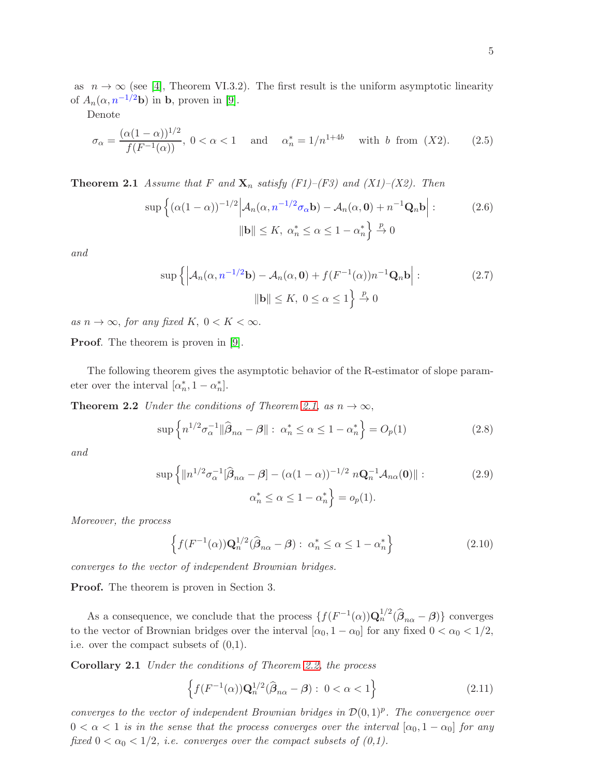as  $n \to \infty$  (see [\[4\]](#page-6-2), Theorem VI.3.2). The first result is the uniform asymptotic linearity of  $A_n(\alpha, n^{-1/2}b)$  in b, proven in [\[9\]](#page-6-5).

Denote

$$
\sigma_{\alpha} = \frac{(\alpha(1-\alpha))^{1/2}}{f(F^{-1}(\alpha))}, \ 0 < \alpha < 1 \quad \text{and} \quad \alpha_n^* = 1/n^{1+4b} \quad \text{with } b \text{ from } (X2). \tag{2.5}
$$

<span id="page-4-0"></span>**Theorem 2.1** Assume that F and  $X_n$  satisfy (F1)–(F3) and (X1)–(X2). Then

$$
\sup \left\{ (\alpha(1-\alpha))^{-1/2} \Big| \mathcal{A}_n(\alpha, n^{-1/2} \sigma_\alpha \mathbf{b}) - \mathcal{A}_n(\alpha, \mathbf{0}) + n^{-1} \mathbf{Q}_n \mathbf{b} \Big| : \right. \tag{2.6}
$$

$$
\|\mathbf{b}\| \le K, \ \alpha_n^* \le \alpha \le 1 - \alpha_n^* \right\} \xrightarrow{p} 0
$$

and

$$
\sup\left\{ \left| \mathcal{A}_n(\alpha, n^{-1/2} \mathbf{b}) - \mathcal{A}_n(\alpha, \mathbf{0}) + f(F^{-1}(\alpha))n^{-1} \mathbf{Q}_n \mathbf{b} \right| : \right. \tag{2.7}
$$
\n
$$
\|\mathbf{b}\| \le K, \ 0 \le \alpha \le 1 \right\} \xrightarrow{p} 0
$$

as  $n \to \infty$ , for any fixed K,  $0 < K < \infty$ .

**Proof.** The theorem is proven in [\[9\]](#page-6-5).

The following theorem gives the asymptotic behavior of the R-estimator of slope parameter over the interval  $[\alpha_n^*, 1 - \alpha_n^*]$ .

**Theorem 2.2** Under the conditions of Theorem [2.1,](#page-4-0) as  $n \to \infty$ ,

<span id="page-4-1"></span>
$$
\sup \left\{ n^{1/2} \sigma_\alpha^{-1} \| \widehat{\boldsymbol{\beta}}_{n\alpha} - \boldsymbol{\beta} \| : \ \alpha_n^* \le \alpha \le 1 - \alpha_n^* \right\} = O_p(1) \tag{2.8}
$$

and

$$
\sup \left\{ \|n^{1/2}\sigma_{\alpha}^{-1}[\widehat{\beta}_{n\alpha} - \beta] - (\alpha(1-\alpha))^{-1/2} n\mathbf{Q}_n^{-1} \mathcal{A}_{n\alpha}(\mathbf{0}) \| : \right. \tag{2.9}
$$

$$
\alpha_n^* \le \alpha \le 1 - \alpha_n^* \right\} = o_p(1).
$$

Moreover, the process

<span id="page-4-2"></span>
$$
\left\{ f(F^{-1}(\alpha))\mathbf{Q}_n^{1/2}(\widehat{\boldsymbol{\beta}}_{n\alpha}-\boldsymbol{\beta}): \ \alpha_n^* \le \alpha \le 1-\alpha_n^* \right\} \tag{2.10}
$$

converges to the vector of independent Brownian bridges.

Proof. The theorem is proven in Section 3.

As a consequence, we conclude that the process  $\{f(F^{-1}(\alpha))\mathbf{Q}_{n}^{1/2}(\widehat{\boldsymbol{\beta}}_{n\alpha}-\boldsymbol{\beta})\}$  converges to the vector of Brownian bridges over the interval  $[\alpha_0, 1 - \alpha_0]$  for any fixed  $0 < \alpha_0 < 1/2$ , i.e. over the compact subsets of (0,1).

Corollary 2.1 Under the conditions of Theorem [2.2,](#page-4-1) the process

$$
\left\{ f(F^{-1}(\alpha))\mathbf{Q}_{n}^{1/2}(\widehat{\boldsymbol{\beta}}_{n\alpha}-\boldsymbol{\beta}): 0 < \alpha < 1 \right\}
$$
 (2.11)

converges to the vector of independent Brownian bridges in  $\mathcal{D}(0,1)^p$ . The convergence over  $0 < \alpha < 1$  is in the sense that the process converges over the interval  $[\alpha_0, 1 - \alpha_0]$  for any fixed  $0 < \alpha_0 < 1/2$ , i.e. converges over the compact subsets of  $(0,1)$ .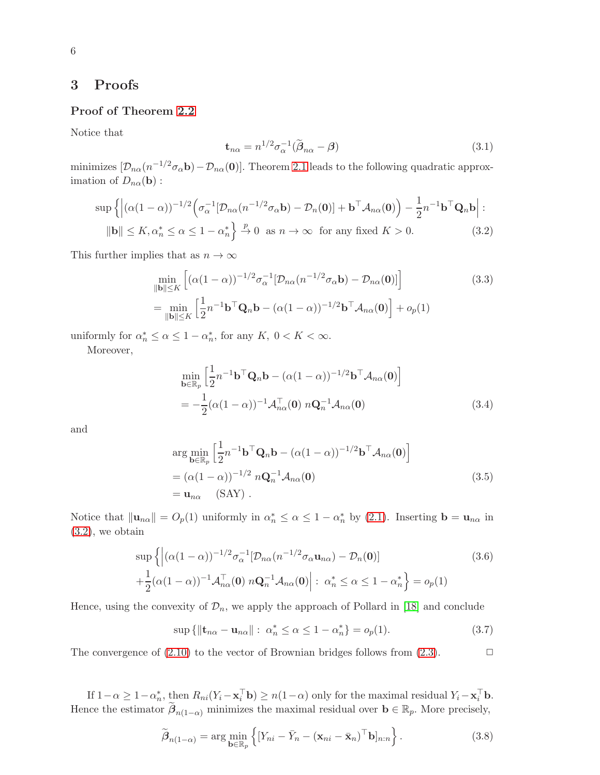### 3 Proofs

#### Proof of Theorem [2.2](#page-4-1)

Notice that

$$
\mathbf{t}_{n\alpha} = n^{1/2} \sigma_{\alpha}^{-1} (\tilde{\boldsymbol{\beta}}_{n\alpha} - \boldsymbol{\beta})
$$
\n(3.1)

minimizes  $[\mathcal{D}_{n\alpha}(n^{-1/2}\sigma_{\alpha} \mathbf{b}) - \mathcal{D}_{n\alpha}(\mathbf{0})]$ . Theorem [2.1](#page-4-0) leads to the following quadratic approximation of  $D_{n\alpha}(\mathbf{b})$ :

<span id="page-5-0"></span>
$$
\sup\left\{ \left| (\alpha(1-\alpha))^{-1/2} \left( \sigma_\alpha^{-1} [\mathcal{D}_{n\alpha}(n^{-1/2} \sigma_\alpha \mathbf{b}) - \mathcal{D}_n(\mathbf{0})] + \mathbf{b}^\top \mathcal{A}_{n\alpha}(\mathbf{0}) \right) - \frac{1}{2} n^{-1} \mathbf{b}^\top \mathbf{Q}_n \mathbf{b} \right| : \|\mathbf{b}\| \le K, \alpha_n^* \le \alpha \le 1 - \alpha_n^* \right\} \xrightarrow{p} 0 \text{ as } n \to \infty \text{ for any fixed } K > 0. \tag{3.2}
$$

This further implies that as  $n \to \infty$ 

$$
\min_{\|\mathbf{b}\| \leq K} \left[ (\alpha(1-\alpha))^{-1/2} \sigma_{\alpha}^{-1} [\mathcal{D}_{n\alpha}(n^{-1/2} \sigma_{\alpha} \mathbf{b}) - \mathcal{D}_{n\alpha}(\mathbf{0})] \right]
$$
(3.3)  
= 
$$
\min_{\|\mathbf{b}\| \leq K} \left[ \frac{1}{2} n^{-1} \mathbf{b}^{\top} \mathbf{Q}_{n} \mathbf{b} - (\alpha(1-\alpha))^{-1/2} \mathbf{b}^{\top} \mathcal{A}_{n\alpha}(\mathbf{0}) \right] + o_{p}(1)
$$

uniformly for  $\alpha_n^* \leq \alpha \leq 1 - \alpha_n^*$ , for any  $K, 0 < K < \infty$ .

Moreover,

$$
\min_{\mathbf{b}\in\mathbb{R}_p} \left[ \frac{1}{2} n^{-1} \mathbf{b}^\top \mathbf{Q}_n \mathbf{b} - (\alpha (1 - \alpha))^{-1/2} \mathbf{b}^\top \mathcal{A}_{n\alpha}(\mathbf{0}) \right]
$$
  
= 
$$
-\frac{1}{2} (\alpha (1 - \alpha))^{-1} \mathcal{A}_{n\alpha}^\top(\mathbf{0}) \ n\mathbf{Q}_n^{-1} \mathcal{A}_{n\alpha}(\mathbf{0})
$$
(3.4)

and

$$
\arg\min_{\mathbf{b}\in\mathbb{R}_p} \left[ \frac{1}{2} n^{-1} \mathbf{b}^\top \mathbf{Q}_n \mathbf{b} - (\alpha(1-\alpha))^{-1/2} \mathbf{b}^\top \mathcal{A}_{n\alpha}(\mathbf{0}) \right]
$$
  
=  $(\alpha(1-\alpha))^{-1/2} n \mathbf{Q}_n^{-1} \mathcal{A}_{n\alpha}(\mathbf{0})$   
=  $\mathbf{u}_{n\alpha}$  (SAY). (3.5)

Notice that  $\|\mathbf{u}_{n\alpha}\| = O_p(1)$  uniformly in  $\alpha_n^* \leq \alpha \leq 1 - \alpha_n^*$  by [\(2.1\)](#page-3-0). Inserting  $\mathbf{b} = \mathbf{u}_{n\alpha}$  in  $(3.2)$ , we obtain

$$
\sup \left\{ \left| (\alpha(1-\alpha))^{-1/2} \sigma_{\alpha}^{-1} [\mathcal{D}_{n\alpha}(n^{-1/2} \sigma_{\alpha} \mathbf{u}_{n\alpha}) - \mathcal{D}_{n}(\mathbf{0})] \right| + \frac{1}{2} (\alpha(1-\alpha))^{-1} \mathcal{A}_{n\alpha}^{\top}(\mathbf{0}) n \mathbf{Q}_{n}^{-1} \mathcal{A}_{n\alpha}(\mathbf{0}) \right| : \alpha_{n}^{*} \leq \alpha \leq 1 - \alpha_{n}^{*} \right\} = o_{p}(1)
$$
\n(3.6)

Hence, using the convexity of  $\mathcal{D}_n$ , we apply the approach of Pollard in [\[18\]](#page-7-4) and conclude

$$
\sup\{\|\mathbf{t}_{n\alpha} - \mathbf{u}_{n\alpha}\| : \ \alpha_n^* \le \alpha \le 1 - \alpha_n^*\} = o_p(1). \tag{3.7}
$$

The convergence of  $(2.10)$  to the vector of Brownian bridges follows from  $(2.3)$ .

If  $1-\alpha \geq 1-\alpha_n^*$ , then  $R_{ni}(Y_i - \mathbf{x}_i^{\top} \mathbf{b}) \geq n(1-\alpha)$  only for the maximal residual  $Y_i - \mathbf{x}_i^{\top} \mathbf{b}$ . Hence the estimator  $\widetilde{\beta}_{n(1-\alpha)}$  minimizes the maximal residual over  $\mathbf{b} \in \mathbb{R}_p$ . More precisely,

$$
\widetilde{\boldsymbol{\beta}}_{n(1-\alpha)} = \arg\min_{\mathbf{b}\in\mathbb{R}_p} \left\{ [Y_{ni} - \bar{Y}_n - (\mathbf{x}_{ni} - \bar{\mathbf{x}}_n)^\top \mathbf{b}]_{n:n} \right\}.
$$
\n(3.8)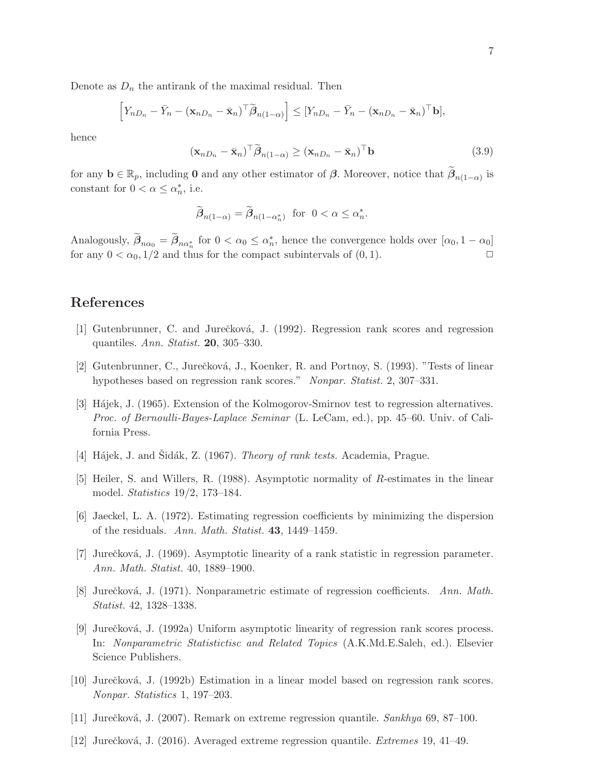Denote as  $D_n$  the antirank of the maximal residual. Then

$$
\left[Y_{nD_n}-\bar{Y}_n-(\mathbf{x}_{nD_n}-\bar{\mathbf{x}}_n)^\top\widetilde{\boldsymbol{\beta}}_{n(1-\alpha)}\right]\leq \left[Y_{nD_n}-\bar{Y}_n-(\mathbf{x}_{nD_n}-\bar{\mathbf{x}}_n)^\top\mathbf{b}\right],
$$

hence

$$
(\mathbf{x}_{nD_n} - \bar{\mathbf{x}}_n)^\top \tilde{\boldsymbol{\beta}}_{n(1-\alpha)} \ge (\mathbf{x}_{nD_n} - \bar{\mathbf{x}}_n)^\top \mathbf{b}
$$
\n(3.9)

for any  $\mathbf{b} \in \mathbb{R}_p$ , including **0** and any other estimator of  $\beta$ . Moreover, notice that  $\widetilde{\beta}_{n(1-\alpha)}$  is constant for  $0 < \alpha \leq \alpha_n^*$ , i.e.

$$
\widetilde{\boldsymbol{\beta}}_{n(1-\alpha)} = \widetilde{\boldsymbol{\beta}}_{n(1-\alpha_n^*)} \text{ for } 0 < \alpha \le \alpha_n^*.
$$

Analogously,  $\beta_{n\alpha_0} = \beta_{n\alpha_n^*}$  for  $0 < \alpha_0 \leq \alpha_n^*$ , hence the convergence holds over  $[\alpha_0, 1 - \alpha_0]$ for any  $0 < \alpha_0$ ,  $1/2$  and thus for the compact subintervals of  $(0, 1)$ .

# <span id="page-6-3"></span>References

- <span id="page-6-4"></span>[1] Gutenbrunner, C. and Jurečková, J. (1992). Regression rank scores and regression quantiles. Ann. Statist. 20, 305–330.
- <span id="page-6-1"></span>[2] Gutenbrunner, C., Jurečková, J., Koenker, R. and Portnoy, S. (1993). "Tests of linear hypotheses based on regression rank scores." Nonpar. Statist. 2, 307–331.
- [3] H´ajek, J. (1965). Extension of the Kolmogorov-Smirnov test to regression alternatives. Proc. of Bernoulli-Bayes-Laplace Seminar (L. LeCam, ed.), pp. 45–60. Univ. of California Press.
- <span id="page-6-2"></span>[4] Hájek, J. and Sidák, Z. (1967). *Theory of rank tests.* Academia, Prague.
- <span id="page-6-0"></span>[5] Heiler, S. and Willers, R. (1988). Asymptotic normality of R-estimates in the linear model. Statistics 19/2, 173–184.
- [6] Jaeckel, L. A. (1972). Estimating regression coefficients by minimizing the dispersion of the residuals. Ann. Math. Statist. 43, 1449–1459.
- [7] Jurečková, J. (1969). Asymptotic linearity of a rank statistic in regression parameter. Ann. Math. Statist. 40, 1889–1900.
- <span id="page-6-5"></span>[8] Jurečková, J. (1971). Nonparametric estimate of regression coefficients. Ann. Math. Statist. 42, 1328–1338.
- [9] Jurečková, J. (1992a) Uniform asymptotic linearity of regression rank scores process. In: Nonparametric Statistictisc and Related Topics (A.K.Md.E.Saleh, ed.). Elsevier Science Publishers.
- [10] Jurečková, J. (1992b) Estimation in a linear model based on regression rank scores. Nonpar. Statistics 1, 197–203.
- [11] Jurečková, J. (2007). Remark on extreme regression quantile. Sankhya 69, 87–100.
- [12] Jurečková, J. (2016). Averaged extreme regression quantile. *Extremes* 19, 41–49.